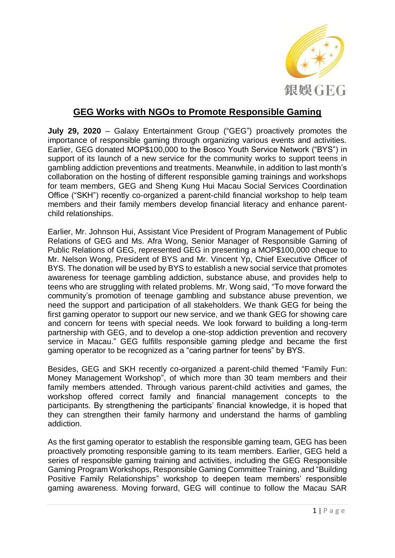

## **GEG Works with NGOs to Promote Responsible Gaming**

**July 29, 2020** – Galaxy Entertainment Group ("GEG") proactively promotes the importance of responsible gaming through organizing various events and activities. Earlier, GEG donated MOP\$100,000 to the Bosco Youth Service Network ("BYS") in support of its launch of a new service for the community works to support teens in gambling addiction preventions and treatments. Meanwhile, in addition to last month's collaboration on the hosting of different responsible gaming trainings and workshops for team members, GEG and Sheng Kung Hui Macau Social Services Coordination Office ("SKH") recently co-organized a parent-child financial workshop to help team members and their family members develop financial literacy and enhance parentchild relationships.

Earlier, Mr. Johnson Hui, Assistant Vice President of Program Management of Public Relations of GEG and Ms. Afra Wong, Senior Manager of Responsible Gaming of Public Relations of GEG, represented GEG in presenting a MOP\$100,000 cheque to Mr. Nelson Wong, President of BYS and Mr. Vincent Yp, Chief Executive Officer of BYS. The donation will be used by BYS to establish a new social service that promotes awareness for teenage gambling addiction, substance abuse, and provides help to teens who are struggling with related problems. Mr. Wong said, "To move forward the community's promotion of teenage gambling and substance abuse prevention, we need the support and participation of all stakeholders. We thank GEG for being the first gaming operator to support our new service, and we thank GEG for showing care and concern for teens with special needs. We look forward to building a long-term partnership with GEG, and to develop a one-stop addiction prevention and recovery service in Macau." GEG fulfills responsible gaming pledge and became the first gaming operator to be recognized as a "caring partner for teens" by BYS.

Besides, GEG and SKH recently co-organized a parent-child themed "Family Fun: Money Management Workshop", of which more than 30 team members and their family members attended. Through various parent-child activities and games, the workshop offered correct family and financial management concepts to the participants. By strengthening the participants' financial knowledge, it is hoped that they can strengthen their family harmony and understand the harms of gambling addiction.

As the first gaming operator to establish the responsible gaming team, GEG has been proactively promoting responsible gaming to its team members. Earlier, GEG held a series of responsible gaming training and activities, including the GEG Responsible Gaming Program Workshops, Responsible Gaming Committee Training, and "Building Positive Family Relationships" workshop to deepen team members' responsible gaming awareness. Moving forward, GEG will continue to follow the Macau SAR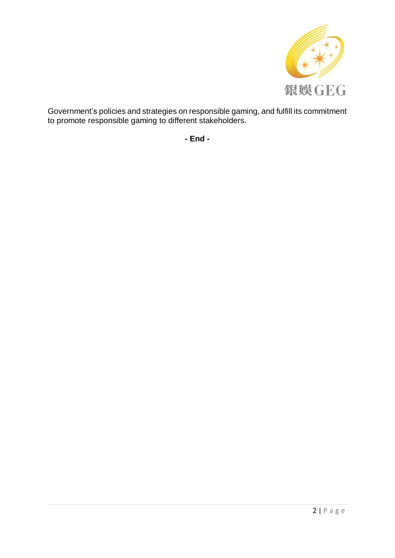

Government's policies and strategies on responsible gaming, and fulfill its commitment to promote responsible gaming to different stakeholders.

**- End -**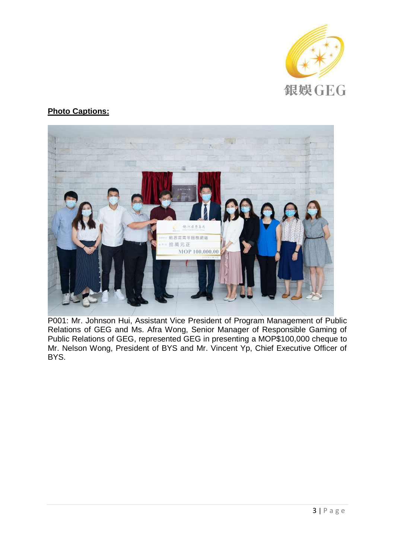

## **Photo Captions:**



P001: Mr. Johnson Hui, Assistant Vice President of Program Management of Public Relations of GEG and Ms. Afra Wong, Senior Manager of Responsible Gaming of Public Relations of GEG, represented GEG in presenting a MOP\$100,000 cheque to Mr. Nelson Wong, President of BYS and Mr. Vincent Yp, Chief Executive Officer of BYS.